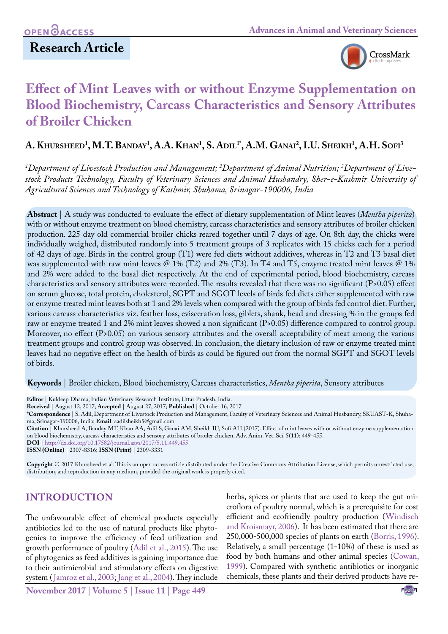# **Research Article**



# **Effect of Mint Leaves with or without Enzyme Supplementation on Blood Biochemistry, Carcass Characteristics and Sensory Attributes of Broiler Chicken**

 $\mathbf{A}.$  Khursheed<sup>1</sup>, M.T. Banday<sup>1</sup>, A.A. Khan<sup>1</sup>, S. Adil<sup>1</sup>', A.M. Ganai<sup>2</sup>, I.U. Sheikh<sup>1</sup>, A.H. Sofi<sup>3</sup>

<sup>1</sup>Department of Livestock Production and Management; <sup>2</sup>Department of Animal Nutrition; <sup>3</sup>Department of Live*stock Products Technology, Faculty of Veterinary Sciences and Animal Husbandry, Sher-e-Kashmir University of Agricultural Sciences and Technology of Kashmir, Shuhama, Srinagar-190006, India*

**Abstract** | A study was conducted to evaluate the effect of dietary supplementation of Mint leaves (*Mentha piperita*) with or without enzyme treatment on blood chemistry, carcass characteristics and sensory attributes of broiler chicken production. 225 day old commercial broiler chicks reared together until 7 days of age. On 8th day, the chicks were individually weighed, distributed randomly into 5 treatment groups of 3 replicates with 15 chicks each for a period of 42 days of age. Birds in the control group (T1) were fed diets without additives, whereas in T2 and T3 basal diet was supplemented with raw mint leaves @ 1% (T2) and 2% (T3). In T4 and T5, enzyme treated mint leaves @ 1% and 2% were added to the basal diet respectively. At the end of experimental period, blood biochemistry, carcass characteristics and sensory attributes were recorded. The results revealed that there was no significant (P>0.05) effect on serum glucose, total protein, cholesterol, SGPT and SGOT levels of birds fed diets either supplemented with raw or enzyme treated mint leaves both at 1 and 2% levels when compared with the group of birds fed control diet. Further, various carcass characteristics viz. feather loss, evisceration loss, giblets, shank, head and dressing % in the groups fed raw or enzyme treated 1 and 2% mint leaves showed a non significant (P>0.05) difference compared to control group. Moreover, no effect (P>0.05) on various sensory attributes and the overall acceptability of meat among the various treatment groups and control group was observed. In conclusion, the dietary inclusion of raw or enzyme treated mint leaves had no negative effect on the health of birds as could be figured out from the normal SGPT and SGOT levels of birds.

**Keywords** | Broiler chicken, Blood biochemistry, Carcass characteristics, *Mentha piperita*, Sensory attributes

**Editor** | Kuldeep Dhama, Indian Veterinary Research Institute, Uttar Pradesh, India.

**Received** | August 12, 2017; **Accepted** | August 27, 2017; **Published** | October 16, 2017

**\*Correspondence** | S. Adil, Department of Livestock Production and Management, Faculty of Veterinary Sciences and Animal Husbandry, SKUAST-K, Shuhama, Srinagar-190006, India; **Email**: aadilsheikh5@gmail.com

**Citation** | Khursheed A, Banday MT, Khan AA, Adil S, Ganai AM, Sheikh IU, Sofi AH (2017). Effect of mint leaves with or without enzyme supplementation on blood biochemistry, carcass characteristics and sensory attributes of broiler chicken. Adv. Anim. Vet. Sci. 5(11): 449-455.

**DOI** | <http://dx.doi.org/10.17582/journal.aavs/2017/5.11.449.455>

**ISSN (Online)** | 2307-8316; **ISSN (Print)** | 2309-3331

**Copyright** © 2017 Khursheed et al. This is an open access article distributed under the Creative Commons Attribution License, which permits unrestricted use, distribution, and reproduction in any medium, provided the original work is properly cited.

# **INTRODUCTION**

The unfavourable effect of chemical products especially antibiotics led to the use of natural products like phytogenics to improve the efficiency of feed utilization and growth performance of poultry [\(Adil et al., 2015\)](#page-5-0). The use of phytogenics as feed additives is gaining importance due to their antimicrobial and stimulatory effects on digestive system ([Jamroz et al., 2003;](#page-5-1) [Jang et al., 2004\)](#page-5-2). They include

herbs, spices or plants that are used to keep the gut microflora of poultry normal, which is a prerequisite for cost efficient and ecofriendly poultry production ([Windisch](#page-6-0) [and Kroismayr, 2006\)](#page-6-0). It has been estimated that there are 250,000-500,000 species of plants on earth ([Borris, 1996\)](#page-5-3). Relatively, a small percentage (1-10%) of these is used as food by both humans and other animal species ([Cowan,](#page-5-4) [1999\)](#page-5-4). Compared with synthetic antibiotics or inorganic chemicals, these plants and their derived products have re-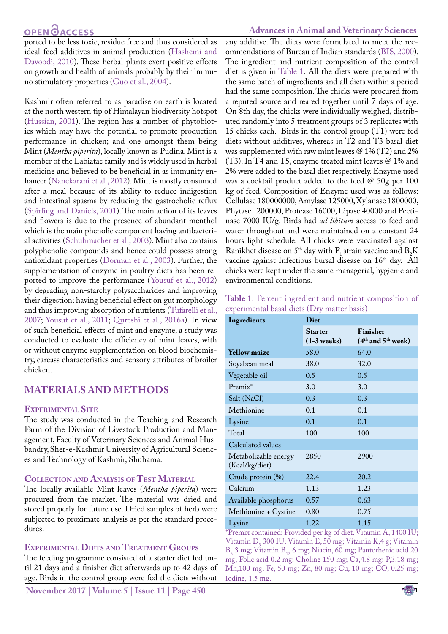ported to be less toxic, residue free and thus considered as ideal feed additives in animal production [\(Hashemi and](#page-5-5) [Davoodi, 2010](#page-5-5)). These herbal plants exert positive effects on growth and health of animals probably by their immuno stimulatory properties ([Guo et al., 2004](#page-5-6)).

Kashmir often referred to as paradise on earth is located at the north western tip of Himalayan biodiversity hotspot [\(Hussian, 2001](#page-5-7)). The region has a number of phytobiotics which may have the potential to promote production performance in chicken; and one amongst them being Mint (*Mentha piperita*), locally known as Pudina. Mint is a member of the Labiatae family and is widely used in herbal medicine and believed to be beneficial in as immunity enhancer ([Nanekarani et al., 2012](#page-6-1)). Mint is mostly consumed after a meal because of its ability to reduce indigestion and intestinal spasms by reducing the gastrocholic reflux [\(Spirling and Daniels, 2001\)](#page-6-2). The main action of its leaves and flowers is due to the presence of abundant menthol which is the main phenolic component having antibacterial activities [\(Schuhmacher et al., 2003](#page-6-3)). Mint also contains polyphenolic compounds and hence could possess strong antioxidant properties ([Dorman et al., 2003](#page-5-8)). Further, the supplementation of enzyme in poultry diets has been reported to improve the performance ([Yousuf et al., 2012\)](#page-6-4) by degrading non-starchy polysaccharides and improving their digestion; having beneficial effect on gut morphology and thus improving absorption of nutrients ([Tufarelli et al.,](#page-6-5) [2007](#page-6-5); [Yousuf et al., 2011](#page-6-6); [Qureshi et al., 2016a](#page-6-7)). In view of such beneficial effects of mint and enzyme, a study was conducted to evaluate the efficiency of mint leaves, with or without enzyme supplementation on blood biochemistry, carcass characteristics and sensory attributes of broiler chicken.

# **Materials and Methods**

#### **Experimental Site**

The study was conducted in the Teaching and Research Farm of the Division of Livestock Production and Management, Faculty of Veterinary Sciences and Animal Husbandry, Sher-e-Kashmir University of Agricultural Sciences and Technology of Kashmir, Shuhama.

#### **Collection and Analysis of Test Material**

The locally available Mint leaves (*Mentha piperita*) were procured from the market. The material was dried and stored properly for future use. Dried samples of herb were subjected to proximate analysis as per the standard procedures.

#### **Experimental Diets and Treatment Groups**

The feeding programme consisted of a starter diet fed until 21 days and a finisher diet afterwards up to 42 days of age. Birds in the control group were fed the diets without

#### **Advances in Animal and Veterinary Sciences**

any additive. The diets were formulated to meet the recommendations of Bureau of Indian standards [\(BIS, 2000](#page-5-9)). The ingredient and nutrient composition of the control diet is given in [Table 1.](#page-1-0) All the diets were prepared with the same batch of ingredients and all diets within a period had the same composition. The chicks were procured from a reputed source and reared together until 7 days of age. On 8th day, the chicks were individually weighed, distributed randomly into 5 treatment groups of 3 replicates with 15 chicks each. Birds in the control group (T1) were fed diets without additives, whereas in T2 and T3 basal diet was supplemented with raw mint leaves  $\mathcal{Q}$  1% (T2) and 2% (T3). In T4 and T5, enzyme treated mint leaves @ 1% and 2% were added to the basal diet respectively. Enzyme used was a cocktail product added to the feed @ 50g per 100 kg of feed. Composition of Enzyme used was as follows: Cellulase 180000000, Amylase 125000, Xylanase 1800000, Phytase 200000, Protease 16000, Lipase 40000 and Pectinase 7000 IU/g. Birds had *ad libitum* access to feed and water throughout and were maintained on a constant 24 hours light schedule. All chicks were vaccinated against Ranikhet disease on 5<sup>th</sup> day with  $F_1$  strain vaccine and  $B_2K$ vaccine against Infectious bursal disease on 16<sup>th</sup> day. All chicks were kept under the same managerial, hygienic and environmental conditions.

<span id="page-1-0"></span>

| Table 1: Percent ingredient and nutrient composition of |  |
|---------------------------------------------------------|--|
| experimental basal diets (Dry matter basis)             |  |

| Ingredients                            | Diet                            |                                    |  |  |  |
|----------------------------------------|---------------------------------|------------------------------------|--|--|--|
|                                        | <b>Starter</b><br>$(1-3$ weeks) | Finisher<br>$(4th$ and $5th$ week) |  |  |  |
| <b>Yellow maize</b>                    | 58.0                            | 64.0                               |  |  |  |
| Soyabean meal                          | 38.0                            | 32.0                               |  |  |  |
| Vegetable oil                          | 0.5                             | 0.5                                |  |  |  |
| Premix*                                | 3.0                             | 3.0                                |  |  |  |
| Salt (NaCl)                            | 0.3                             | 0.3                                |  |  |  |
| Methionine                             | 0.1                             | 0.1                                |  |  |  |
| Lysine                                 | 0.1                             | 0.1                                |  |  |  |
| Total                                  | 100                             | 100                                |  |  |  |
| Calculated values                      |                                 |                                    |  |  |  |
| Metabolizable energy<br>(Kcal/kg/diet) | 2850                            | 2900                               |  |  |  |
| Crude protein (%)                      | 22.4                            | 20.2                               |  |  |  |
| Calcium                                | 1.13                            | 1.23                               |  |  |  |
| Available phosphorus                   | 0.57                            | 0.63                               |  |  |  |
| Methionine + Cystine                   | 0.80                            | 0.75                               |  |  |  |
| Lysine                                 | 1.22                            | 1.15                               |  |  |  |

**\***Premix contained: Provided per kg of diet. Vitamin A, 1400 IU; Vitamin  $D_3$  300 IU; Vitamin E, 50 mg; Vitamin K,4 g; Vitamin  $B_6$  3 mg; Vitamin  $B_{12}$  6 mg; Niacin, 60 mg; Pantothenic acid 20 mg; Folic acid 0.2 mg; Choline 150 mg; Ca,4.8 mg; P,3.18 mg; Mn,100 mg; Fe, 50 mg; Zn, 80 mg; Cu, 10 mg; CO, 0.25 mg; Iodine, 1.5 mg.

NE**X**US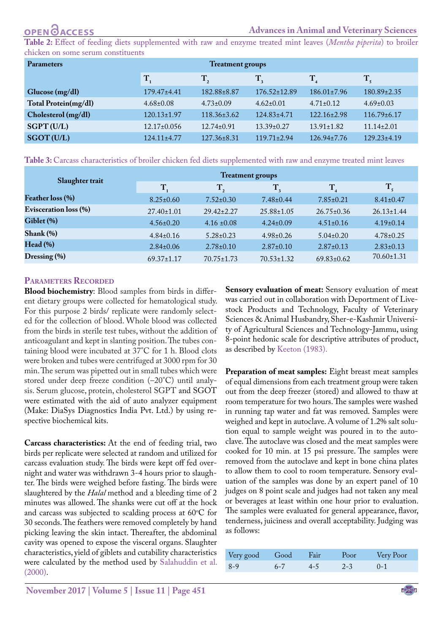<span id="page-2-0"></span>**Table 2:** Effect of feeding diets supplemented with raw and enzyme treated mint leaves (*Mentha piperita*) to broiler chicken on some serum constituents

| <b>Parameters</b>    | <b>Treatment groups</b> |                   |                    |                   |                   |  |
|----------------------|-------------------------|-------------------|--------------------|-------------------|-------------------|--|
|                      | T                       | $\mathbf{T}_{2}$  | $T_{\rm a}$        | $\mathbf{T}_4$    | $\rm T_{\rm s}$   |  |
| Glucose (mg/dl)      | $179.47 \pm 4.41$       | 182.88±8.87       | $176.52 \pm 12.89$ | $186.01 \pm 7.96$ | $180.89 \pm 2.35$ |  |
| Total Protein(mg/dl) | $4.68 \pm 0.08$         | $4.73 \pm 0.09$   | $4.62 \pm 0.01$    | $4.71 \pm 0.12$   | $4.69 \pm 0.03$   |  |
| Cholesterol (mg/dl)  | $120.13 \pm 1.97$       | $118.36 \pm 3.62$ | $124.83 \pm 4.71$  | $122.16 \pm 2.98$ | $116.79 \pm 6.17$ |  |
| SGPT (U/L)           | $12.17\pm0.056$         | $12.74 \pm 0.91$  | $13.39 \pm 0.27$   | $13.91 \pm 1.82$  | $11.14 \pm 2.01$  |  |
| SGOT (U/L)           | $124.11 \pm 4.77$       | $127.36 \pm 8.31$ | $119.71 + 2.94$    | $126.94 \pm 7.76$ | $129.23 \pm 4.19$ |  |

<span id="page-2-1"></span>**Table 3:** Carcass characteristics of broiler chicken fed diets supplemented with raw and enzyme treated mint leaves

| Slaughter trait              | <b>Treatment groups</b> |                  |                  |                  |                  |
|------------------------------|-------------------------|------------------|------------------|------------------|------------------|
|                              | $\mathbf{T}_1$          | $\mathbf{T}_2$   | $T_{\rm a}$      | $T_{\rm A}$      | $\mathbf{T}_{5}$ |
| Feather loss (%)             | $8.25 \pm 0.60$         | $7.52 \pm 0.30$  | $7.48 \pm 0.44$  | $7.85 \pm 0.21$  | $8.41 \pm 0.47$  |
| <b>Evisceration loss (%)</b> | $27.40 \pm 1.01$        | $29.42 \pm 2.27$ | $25.88 \pm 1.05$ | $26.75 \pm 0.36$ | $26.13 \pm 1.44$ |
| Giblet (%)                   | $4.56 \pm 0.20$         | $4.16 \pm 0.08$  | $4.24 \pm 0.09$  | $4.51 \pm 0.16$  | $4.19\pm0.14$    |
| $Shank(\%)$                  | $4.84\pm0.16$           | $5.28 \pm 0.23$  | $4.98 \pm 0.26$  | $5.04\pm0.20$    | $4.78 \pm 0.25$  |
| Head (%)                     | $2.84 \pm 0.06$         | $2.78 \pm 0.10$  | $2.87 \pm 0.10$  | $2.87 \pm 0.13$  | $2.83 \pm 0.13$  |
| $D$ ressing $(\% )$          | $69.37 \pm 1.17$        | $70.75 \pm 1.73$ | $70.53 \pm 1.32$ | $69.83 \pm 0.62$ | $70.60 \pm 1.31$ |

#### **Parameters Recorded**

**Blood biochemistry**: Blood samples from birds in different dietary groups were collected for hematological study. For this purpose 2 birds/ replicate were randomly selected for the collection of blood. Whole blood was collected from the birds in sterile test tubes, without the addition of anticoagulant and kept in slanting position. The tubes containing blood were incubated at 37°C for 1 h. Blood clots were broken and tubes were centrifuged at 3000 rpm for 30 min. The serum was pipetted out in small tubes which were stored under deep freeze condition (–20°C) until analysis. Serum glucose, protein, cholesterol SGPT and SGOT were estimated with the aid of auto analyzer equipment (Make: DiaSys Diagnostics India Pvt. Ltd.) by using respective biochemical kits.

**Carcass characteristics:** At the end of feeding trial, two birds per replicate were selected at random and utilized for carcass evaluation study. The birds were kept off fed overnight and water was withdrawn 3-4 hours prior to slaughter. The birds were weighed before fasting. The birds were slaughtered by the *Halal* method and a bleeding time of 2 minutes was allowed. The shanks were cut off at the hock and carcass was subjected to scalding process at  $60^{\circ}$ C for 30 seconds. The feathers were removed completely by hand picking leaving the skin intact. Thereafter, the abdominal cavity was opened to expose the visceral organs. Slaughter characteristics, yield of giblets and cutability characteristics were calculated by the method used by [Salahuddin et al.](#page-6-8) [\(2000\).](#page-6-8)

**Sensory evaluation of meat:** Sensory evaluation of meat was carried out in collaboration with Deportment of Livestock Products and Technology, Faculty of Veterinary Sciences & Animal Husbandry, Sher-e-Kashmir University of Agricultural Sciences and Technology-Jammu, using 8-point hedonic scale for descriptive attributes of product, as described by [Keeton \(1983\).](#page-5-10)

**Preparation of meat samples:** Eight breast meat samples of equal dimensions from each treatment group were taken out from the deep freezer (stored) and allowed to thaw at room temperature for two hours. The samples were washed in running tap water and fat was removed. Samples were weighed and kept in autoclave. A volume of 1.2% salt solution equal to sample weight was poured in to the autoclave. The autoclave was closed and the meat samples were cooked for 10 min. at 15 psi pressure. The samples were removed from the autoclave and kept in bone china plates to allow them to cool to room temperature. Sensory evaluation of the samples was done by an expert panel of 10 judges on 8 point scale and judges had not taken any meal or beverages at least within one hour prior to evaluation. The samples were evaluated for general appearance, flavor, tenderness, juiciness and overall acceptability. Judging was as follows:

| Very good Good Fair |         |        |         | Poor Very Poor |
|---------------------|---------|--------|---------|----------------|
| $8-9$               | $6 - 7$ | $-4-5$ | $2 - 3$ |                |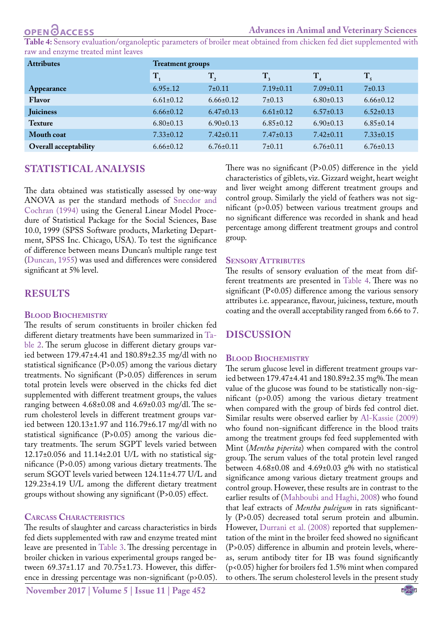<span id="page-3-0"></span>**Table 4:** Sensory evaluation/organoleptic parameters of broiler meat obtained from chicken fed diet supplemented with raw and enzyme treated mint leaves

| <b>Attributes</b>     | <b>Treatment groups</b> |                 |                 |                 |                 |  |
|-----------------------|-------------------------|-----------------|-----------------|-----------------|-----------------|--|
|                       | $\mathbf{T}_1$          | $T_{2}$         | $T_{\rm a}$     | $T_{4}$         | $T_{\rm s}$     |  |
| Appearance            | $6.95 \pm .12$          | $7+0.11$        | $7.19 \pm 0.11$ | $7.09 \pm 0.11$ | 7±0.13          |  |
| Flavor                | $6.61 \pm 0.12$         | $6.66 \pm 0.12$ | $7+0.13$        | $6.80 \pm 0.13$ | $6.66 \pm 0.12$ |  |
| <b>Juiciness</b>      | $6.66 \pm 0.12$         | $6.47 \pm 0.13$ | $6.61 \pm 0.12$ | $6.57\pm0.13$   | $6.52 \pm 0.13$ |  |
| <b>Texture</b>        | $6.80 \pm 0.13$         | $6.90 \pm 0.13$ | $6.85 \pm 0.12$ | $6.90 \pm 0.13$ | $6.85 \pm 0.14$ |  |
| Mouth coat            | $7.33 \pm 0.12$         | $7.42 \pm 0.11$ | $7.47 \pm 0.13$ | $7.42 \pm 0.11$ | $7.33 \pm 0.15$ |  |
| Overall acceptability | $6.66 \pm 0.12$         | $6.76 \pm 0.11$ | $7\pm0.11$      | $6.76 \pm 0.11$ | $6.76 \pm 0.13$ |  |

# **Statistical Analysis**

The data obtained was statistically assessed by one-way ANOVA as per the standard methods of [Snecdor and](#page-6-9) [Cochran \(1994\) u](#page-6-9)sing the General Linear Model Procedure of Statistical Package for the Social Sciences, Base 10.0, 1999 (SPSS Software products, Marketing Department, SPSS Inc. Chicago, USA). To test the significance of difference between means Duncan's multiple range test [\(Duncan, 1955](#page-5-11)) was used and differences were considered significant at 5% level.

# **RESULTS**

#### **Blood Biochemistry**

The results of serum constituents in broiler chicken fed different dietary treatments have been summarized in [Ta](#page-2-0)[ble 2](#page-2-0). The serum glucose in different dietary groups varied between 179.47±4.41 and 180.89±2.35 mg/dl with no statistical significance (P>0.05) among the various dietary treatments. No significant (P>0.05) differences in serum total protein levels were observed in the chicks fed diet supplemented with different treatment groups, the values ranging between 4.68±0.08 and 4.69±0.03 mg/dl. The serum cholesterol levels in different treatment groups varied between 120.13±1.97 and 116.79±6.17 mg/dl with no statistical significance (P>0.05) among the various dietary treatments. The serum SGPT levels varied between 12.17±0.056 and 11.14±2.01 U/L with no statistical significance (P>0.05) among various dietary treatments. The serum SGOT levels varied between 124.11±4.77 U/L and 129.23±4.19 U/L among the different dietary treatment groups without showing any significant (P>0.05) effect.

### **Carcass Characteristics**

The results of slaughter and carcass characteristics in birds fed diets supplemented with raw and enzyme treated mint leave are presented in [Table 3.](#page-2-1) The dressing percentage in broiler chicken in various experimental groups ranged between 69.37±1.17 and 70.75±1.73. However, this difference in dressing percentage was non-significant (p>0.05).

**November 2017 | Volume 5 | Issue 11 | Page 452**

There was no significant (P>0.05) difference in the yield characteristics of giblets, viz. Gizzard weight, heart weight and liver weight among different treatment groups and control group. Similarly the yield of feathers was not significant (p>0.05) between various treatment groups and no significant difference was recorded in shank and head percentage among different treatment groups and control group.

#### **SENSORY ATTRIBUTES**

The results of sensory evaluation of the meat from different treatments are presented in [Table 4](#page-3-0). There was no significant (P<0.05) difference among the various sensory attributes i.e. appearance, flavour, juiciness, texture, mouth coating and the overall acceptability ranged from 6.66 to 7.

# **Discussion**

#### **Blood Biochemistry**

The serum glucose level in different treatment groups varied between 179.47±4.41 and 180.89±2.35 mg%. The mean value of the glucose was found to be statistically non-significant (p>0.05) among the various dietary treatment when compared with the group of birds fed control diet. Similar results were observed earlier by [Al-Kassie \(2009\)](#page-5-12) who found non-significant difference in the blood traits among the treatment groups fed feed supplemented with Mint (*Mentha piperita*) when compared with the control group. The serum values of the total protein level ranged between 4.68±0.08 and 4.69±0.03 g% with no statistical significance among various dietary treatment groups and control group. However, these results are in contrast to the earlier results of [\(Mahboubi and Haghi, 2008](#page-6-10)) who found that leaf extracts of *Mentha puleigum* in rats significantly (P>0.05) decreased total serum protein and albumin. However, [Durrani et al. \(2008\)](#page-5-13) reported that supplementation of the mint in the broiler feed showed no significant (P>0.05) difference in albumin and protein levels, whereas, serum antibody titer for IB was found significantly (p<0.05) higher for broilers fed 1.5% mint when compared to others. The serum cholesterol levels in the present study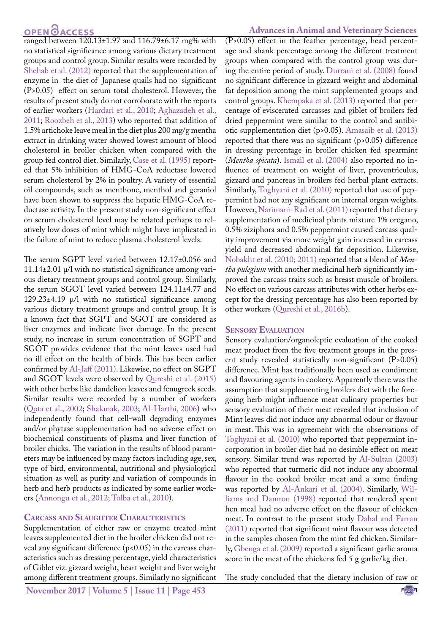### OPEN CACCESS

ranged between 120.13±1.97 and 116.79±6.17 mg% with no statistical significance among various dietary treatment groups and control group. Similar results were recorded by [Shehab et al. \(2012\)](#page-6-11) reported that the supplementation of enzyme in the diet of Japanese quails had no significant (P>0.05) effect on serum total cholesterol. However, the results of present study do not corroborate with the reports of earlier workers [\(Hardari et al., 2010](#page-5-14); [Aghazadeh et al.,](#page-5-15) [2011;](#page-5-15) [Roozbeh et al., 2013\)](#page-6-12) who reported that addition of 1.5% artichoke leave meal in the diet plus 200 mg/g mentha extract in drinking water showed lowest amount of blood cholesterol in broiler chicken when compared with the group fed control diet. Similarly, [Case et al. \(1995\)](#page-5-16) reported that 5% inhibition of HMG-CoA reductase lowered serum cholesterol by 2% in poultry. A variety of essential oil compounds, such as menthone, menthol and geraniol have been shown to suppress the hepatic HMG-CoA reductase activity. In the present study non-significant effect on serum cholesterol level may be related perhaps to relatively low doses of mint which might have implicated in the failure of mint to reduce plasma cholesterol levels.

The serum SGPT level varied between 12.17±0.056 and 11.14 $\pm$ 2.01  $\mu$ /l with no statistical significance among various dietary treatment groups and control group. Similarly, the serum SGOT level varied between 124.11±4.77 and 129.23 $\pm$ 4.19  $\mu$ /l with no statistical significance among various dietary treatment groups and control group. It is a known fact that SGPT and SGOT are considered as liver enzymes and indicate liver damage. In the present study, no increase in serum concentration of SGPT and SGOT provides evidence that the mint leaves used had no ill effect on the health of birds. This has been earlier confirmed by [Al-Jaff \(2011\)](#page-5-17). Likewise, no effect on SGPT and SGOT levels were observed by [Qureshi et al. \(2015\)](#page-6-13) with other herbs like dandelion leaves and fenugreek seeds. Similar results were recorded by a number of workers [\(Qota et al., 2002;](#page-6-14) [Shakmak, 2003](#page-6-15); [Al-Harthi, 2006\)](#page-5-18) who independently found that cell-wall degrading enzymes and/or phytase supplementation had no adverse effect on biochemical constituents of plasma and liver function of broiler chicks. The variation in the results of blood parameters may be influenced by many factors including age, sex, type of bird, environmental, nutritional and physiological situation as well as purity and variation of compounds in herb and herb products as indicated by some earlier workers ([Annongu et al., 2012](#page-5-19); [Tolba et al., 2010](#page-6-16)).

#### **Carcass and Slaughter Characteristics**

Supplementation of either raw or enzyme treated mint leaves supplemented diet in the broiler chicken did not reveal any significant difference (p<0.05) in the carcass characteristics such as dressing percentage, yield characteristics of Giblet viz. gizzard weight, heart weight and liver weight among different treatment groups. Similarly no significant

**November 2017 | Volume 5 | Issue 11 | Page 453**

#### **Advances in Animal and Veterinary Sciences**

(P>0.05) effect in the feather percentage, head percentage and shank percentage among the different treatment groups when compared with the control group was during the entire period of study. [Durrani et al. \(2008\)](#page-5-13) found no significant difference in gizzard weight and abdominal fat deposition among the mint supplemented groups and control groups[. Khempaka et al. \(2013\)](#page-6-17) reported that percentage of eviscerated carcasses and giblet of broilers fed dried peppermint were similar to the control and antibiotic supplementation diet (p>0.05). [Amasaib et al. \(2013\)](#page-5-20) reported that there was no significant (p>0.05) difference in dressing percentage in broiler chicken fed spearmint (*Mentha spicata*). [Ismail et al. \(2004\)](#page-5-21) also reported no influence of treatment on weight of liver, proventriculus, gizzard and pancreas in broilers fed herbal plant extracts. Similarly, [Toghyani et al. \(2010\)](#page-6-18) reported that use of peppermint had not any significant on internal organ weights. However, [Narimani-Rad et al. \(2011\)](#page-6-19) reported that dietary supplementation of medicinal plants mixture 1% oregano, 0.5% ziziphora and 0.5% peppermint caused carcass quality improvement via more weight gain increased in carcass yield and decreased abdominal fat deposition. Likewise, [Nobakht et al. \(2010](#page-6-20); [2011\)](#page-6-21) reported that a blend of *Mentha pulegium* with another medicinal herb significantly improved the carcass traits such as breast muscle of broilers. No effect on various carcass attributes with other herbs except for the dressing percentage has also been reported by other workers [\(Qureshi et al., 2016b\)](#page-6-22).

#### **Sensory Evaluation**

Sensory evaluation/organoleptic evaluation of the cooked meat product from the five treatment groups in the present study revealed statistically non-significant (P>0.05) difference. Mint has traditionally been used as condiment and flavouring agents in cookery. Apparently there was the assumption that supplementing broilers diet with the foregoing herb might influence meat culinary properties but sensory evaluation of their meat revealed that inclusion of Mint leaves did not induce any abnormal odour or flavour in meat. This was in agreement with the observations of [Toghyani et al. \(2010\)](#page-6-18) who reported that peppermint incorporation in broiler diet had no desirable effect on meat sensory. Similar trend was reported by [Al-Sultan \(2003\)](#page-5-20) who reported that turmeric did not induce any abnormal flavour in the cooked broiler meat and a same finding was reported by [Al-Ankari et al. \(2004\).](#page-5-22) Similarly, [Wil](#page-6-23)[liams and Damron \(1998\)](#page-6-23) reported that rendered spent hen meal had no adverse effect on the flavour of chicken meat. In contrast to the present study [Dahal and Farran](#page-5-23) [\(2011\)](#page-5-23) reported that significant mint flavour was detected in the samples chosen from the mint fed chicken. Similarly, [Gbenga et al. \(2009\)](#page-5-24) reported a significant garlic aroma score in the meat of the chickens fed 5 g garlic/kg diet.

The study concluded that the dietary inclusion of raw or

NE**X**US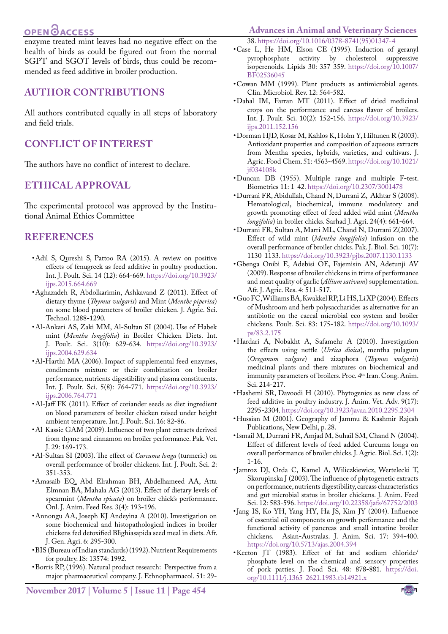# **OPEN**OACCESS

enzyme treated mint leaves had no negative effect on the health of birds as could be figured out from the normal SGPT and SGOT levels of birds, thus could be recommended as feed additive in broiler production.

### **AUTHOR CONTRIBUTIONS**

All authors contributed equally in all steps of laboratory and field trials.

## **CONFLICT OF INTEREST**

The authors have no conflict of interest to declare.

### **ETHICAL APPROVAL**

The experimental protocol was approved by the Institutional Animal Ethics Committee

#### **REFERENCES**

- <span id="page-5-0"></span>• Adil S, Qureshi S, Pattoo RA (2015). A review on positive effects of fenugreek as feed additive in poultry production. Int. J. Poult. Sci. 14 (12): 664-669. [https://doi.org/10.3923/](https://doi.org/10.3923/ijps.2015.664.669 ) [ijps.2015.664.669](https://doi.org/10.3923/ijps.2015.664.669 )
- <span id="page-5-15"></span>• Aghazadeh R, Abdolkarimin, Ashkavand Z (2011). Effect of dietary thyme (*Thymus vulgaris*) and Mint (*Menthe piperita*) on some blood parameters of broiler chicken. J. Agric. Sci. Technol. 1288-1290.
- <span id="page-5-22"></span>• Al-Ankari AS, Zaki MM, Al-Sultan SI (2004). Use of Habek mint (*Mentha longifolia*) in Broiler Chicken Diets. Int. J. Poult. Sci. 3(10): 629-634. [https://doi.org/10.3923/](https://doi.org/10.3923/ijps.2004.629.634 ) [ijps.2004.629.634](https://doi.org/10.3923/ijps.2004.629.634 )
- <span id="page-5-18"></span>• Al-Harthi MA (2006). Impact of supplemental feed enzymes, condiments mixture or their combination on broiler performance, nutrients digestibility and plasma constituents. Int. J. Poult. Sci. 5(8): 764-771[. https://doi.org/10.3923/]( https://doi.org/10.3923/ijps.2006.764.771 ) [ijps.2006.764.771]( https://doi.org/10.3923/ijps.2006.764.771 )
- <span id="page-5-17"></span>• Al-Jaff FK (2011). Effect of coriander seeds as diet ingredient on blood parameters of broiler chicken raised under height ambient temperature. Int. J. Poult. Sci. 16: 82-86.
- <span id="page-5-12"></span>• Al-Kassie GAM (2009). Influence of two plant extracts derived from thyme and cinnamon on broiler performance. Pak. Vet. J. 29: 169-173.
- <span id="page-5-20"></span>• Al-Sultan SI (2003). The effect of *Curcuma longa* (turmeric) on overall performance of broiler chickens. Int. J. Poult. Sci. 2: 351-353.
- • Amasaib EQ, Abd Elrahman BH, Abdelhameed AA, Atta Elmnan BA, Mahala AG (2013). Effect of dietary levels of spearmint (*Mentha spicata*) on broiler chick's performance. Onl. J. Anim. Feed Res. 3(4): 193-196.
- <span id="page-5-19"></span>• Annongu AA, Joseph KJ Andeyina A (2010). Investigation on some biochemical and histopathological indices in broiler chickens fed detoxified Blighiasapida seed meal in diets. Afr. J. Gen. Agri. 6: 295-300.
- <span id="page-5-9"></span>• BIS (Bureau of Indian standards) (1992). Nutrient Requirements for poultry. IS: 13574: 1992.
- <span id="page-5-3"></span>• Borris RP, (1996). Natural product research: Perspective from a major pharmaceutical company. J. Ethnopharmacol. 51: 29-

# **Advances in Animal and Veterinary Sciences**

- <span id="page-5-16"></span>38. [https://doi.org/10.1016/0378-8741\(95\)01347-4](https://doi.org/10.1016/0378-8741(95)01347-4 ) • Case L, He HM, Elson CE (1995). Induction of geranyl pyrophosphate activity by cholesterol suppressive isoperenoids. Lipids 30: 357-359. [https://doi.org/10.1007/](https://doi.org/10.1007/BF02536045 ) [BF02536045](https://doi.org/10.1007/BF02536045 )
- <span id="page-5-4"></span>• Cowan MM (1999). Plant products as antimicrobial agents. Clin. Microbiol. Rev. 12: 564-582.
- <span id="page-5-23"></span>• Dahal IM, Farran MT (2011). Effect of dried medicinal crops on the performance and carcass flavor of broilers. Int. J. Poult. Sci. 10(2): 152-156. [https://doi.org/10.3923/](https://doi.org/10.3923/ijps.2011.152.156 ) [ijps.2011.152.156](https://doi.org/10.3923/ijps.2011.152.156 )
- <span id="page-5-8"></span>• Dorman HJD, Kosar M, Kahlos K, Holm Y, Hiltunen R (2003). Antioxidant properties and composition of aqueous extracts from Mentha species, hybrids, varieties, and cultivars. J. Agric. Food Chem. 51: 4563-4569. [https://doi.org/10.1021/](https://doi.org/10.1021/jf034108k ) [jf034108k](https://doi.org/10.1021/jf034108k )
- <span id="page-5-11"></span>• Duncan DB (1955). Multiple range and multiple F-test. Biometrics 11: 1-42[. https://doi.org/10.2307/3001478]( https://doi.org/10.2307/3001478 )
- <span id="page-5-13"></span>• Durrani FR, Abidullah, Chand N, Durrani Z, Akhtar S (2008). Hematological, biochemical, immune modulatory and growth promoting effect of feed added wild mint (*Mentha longifolia*) in broiler chicks. Sarhad J. Agri. 24(4): 661-664.
- • [Durrani FR](http://www.ncbi.nlm.nih.gov/pubmed?term=Durrani FR%5BAuthor%5D&cauthor=true&cauthor_uid=19070065), [Sultan A](http://www.ncbi.nlm.nih.gov/pubmed?term=Sultan A%5BAuthor%5D&cauthor=true&cauthor_uid=19070065), [Marri ML,](http://www.ncbi.nlm.nih.gov/pubmed?term=Marri ML%5BAuthor%5D&cauthor=true&cauthor_uid=19070065) [Chand N](http://www.ncbi.nlm.nih.gov/pubmed?term=Chand N%5BAuthor%5D&cauthor=true&cauthor_uid=19070065), [Durrani Z](http://www.ncbi.nlm.nih.gov/pubmed?term=Durrani Z%5BAuthor%5D&cauthor=true&cauthor_uid=19070065)(2007). Effect of wild mint (*Mentha longifolia*) infusion on the overall performance of broiler chicks. Pak. J. Biol. Sci. 10(7): 1130-1133. [https://doi.org/10.3923/pjbs.2007.1130.1133](https://doi.org/10.3923/pjbs.2007.1130.1133 )
- <span id="page-5-24"></span>• Gbenga Onibi E, Adebisi OE, Fajemisin AN, Adetunji AV (2009). Response of broiler chickens in trims of performance and meat quality of garlic (*Allium sativum*) supplementation. Afr. J. Agric. Res. 4: 511-517.
- <span id="page-5-6"></span>• Guo FC, Williams BA, Kwakkel RP, Li HS, Li XP (2004). Effects of Mushroom and herb polysaccharides as alternative for an antibiotic on the caecal microbial eco-system and broiler chickens. Poult. Sci. 83: 175-182. [https://doi.org/10.1093/](https://doi.org/10.1093/ps/83.2.175 ) [ps/83.2.175](https://doi.org/10.1093/ps/83.2.175 )
- <span id="page-5-14"></span>• Hardari A, Nobakht A, Safamehr A (2010). Investigation the effects using nettle (*Urtica dioica*), mentha pulagum (*Oreganum valgare*) and zizaphora (*Thymus vulgaris*) medicinal plants and there mixtures on biochemical and immunity parameters of broilers. Proc. 4th Iran. Cong. Anim. Sci. 214-217.
- <span id="page-5-5"></span>• Hashemi SR, Davoodi H (2010). Phytogenics as new class of feed additive in poultry industry. J. Anim. Vet. Adv. 9(17): 2295-2304[. https://doi.org/10.3923/javaa.2010.2295.2304]( https://doi.org/10.3923/javaa.2010.2295.2304 )
- <span id="page-5-7"></span>• Hussian M (2001). Geography of Jammu & Kashmir Rajesh Publications, New Delhi, p. 28.
- <span id="page-5-21"></span>• Ismail M, Durrani FR, Amjad M, Suhail SM, Chand N (2004). Effect of different levels of feed added Curcuma longa on overall performance of broiler chicks. J. Agric. Biol. Sci. 1(2): 1-16.
- <span id="page-5-1"></span>• Jamroz DJ, Orda C, Kamel A, Wiliczkiewicz, Wertelecki T, Skorupinska J (2003). The influence of phytogenetic extracts on performance, nutrients digestibility, carcass characteristics and gut microbial status in broiler chickens. J. Anim. Feed Sci. 12: 583-596. [https://doi.org/10.22358/jafs/67752/2003](https://doi.org/10.22358/jafs/67752/2003 )
- <span id="page-5-2"></span>• Jang IS, Ko YH, Yang HY, Ha JS, Kim JY (2004). Influence of essential oil components on growth performance and the functional activity of pancreas and small intestine broiler chickens. Asian-Australas. J. Anim. Sci. 17: 394-400. [https://doi.org/10.5713/ajas.2004.394](https://doi.org/10.5713/ajas.2004.394 )
- <span id="page-5-10"></span>• Keeton JT (1983). Effect of fat and sodium chloride/ phosphate level on the chemical and sensory properties of pork patties. J. Food Sci. 48: 878-881. [https://doi.](https://doi.org/10.1111/j.1365-2621.1983.tb14921.x ) [org/10.1111/j.1365-2621.1983.tb14921.x](https://doi.org/10.1111/j.1365-2621.1983.tb14921.x )